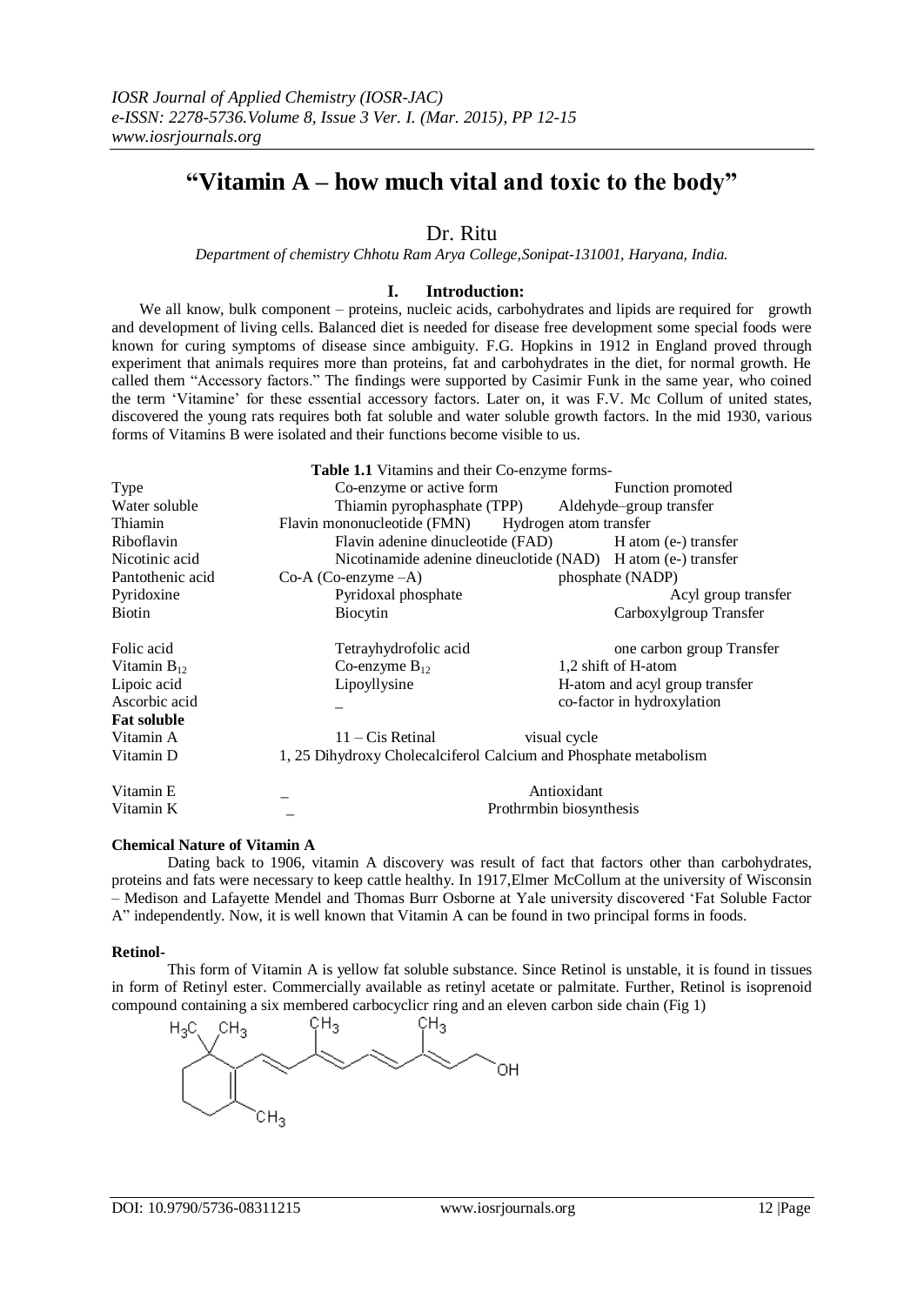# **"Vitamin A – how much vital and toxic to the body"**

# Dr. Ritu

*Department of chemistry Chhotu Ram Arya College,Sonipat-131001, Haryana, India.*

# **I. Introduction:**

We all know, bulk component – proteins, nucleic acids, carbohydrates and lipids are required for growth and development of living cells. Balanced diet is needed for disease free development some special foods were known for curing symptoms of disease since ambiguity. F.G. Hopkins in 1912 in England proved through experiment that animals requires more than proteins, fat and carbohydrates in the diet, for normal growth. He called them "Accessory factors." The findings were supported by Casimir Funk in the same year, who coined the term "Vitamine" for these essential accessory factors. Later on, it was F.V. Mc Collum of united states, discovered the young rats requires both fat soluble and water soluble growth factors. In the mid 1930, various forms of Vitamins B were isolated and their functions become visible to us.

|                    | Table 1.1 Vitamins and their Co-enzyme forms-                    |              |                                |  |
|--------------------|------------------------------------------------------------------|--------------|--------------------------------|--|
| Type               | Co-enzyme or active form                                         |              | Function promoted              |  |
| Water soluble      | Thiamin pyrophasphate (TPP) Aldehyde-group transfer              |              |                                |  |
| Thiamin            | Flavin mononucleotide (FMN) Hydrogen atom transfer               |              |                                |  |
| Riboflavin         | Flavin adenine dinucleotide (FAD) H atom (e-) transfer           |              |                                |  |
| Nicotinic acid     | Nicotinamide adenine dineuclotide (NAD) H atom (e-) transfer     |              |                                |  |
| Pantothenic acid   | $Co-A (Co-enzyme-A)$                                             |              | phosphate (NADP)               |  |
| Pyridoxine         | Pyridoxal phosphate                                              |              | Acyl group transfer            |  |
| Biotin             | Biocytin                                                         |              | Carboxylgroup Transfer         |  |
| Folic acid         | Tetrayhydrofolic acid                                            |              | one carbon group Transfer      |  |
| Vitamin $B_{12}$   | Co-enzyme $B_{12}$                                               |              | 1.2 shift of H-atom            |  |
| Lipoic acid        | Lipoyllysine                                                     |              | H-atom and acyl group transfer |  |
| Ascorbic acid      |                                                                  |              | co-factor in hydroxylation     |  |
| <b>Fat soluble</b> |                                                                  |              |                                |  |
| Vitamin A          | $11 - Ci$ s Retinal                                              | visual cycle |                                |  |
| Vitamin D          | 1, 25 Dihydroxy Cholecalciferol Calcium and Phosphate metabolism |              |                                |  |
| Vitamin E          |                                                                  | Antioxidant  |                                |  |
| Vitamin K          | Prothrmbin biosynthesis                                          |              |                                |  |

# **Chemical Nature of Vitamin A**

Dating back to 1906, vitamin A discovery was result of fact that factors other than carbohydrates, proteins and fats were necessary to keep cattle healthy. In 1917,Elmer McCollum at the university of Wisconsin – Medison and Lafayette Mendel and Thomas Burr Osborne at Yale university discovered "Fat Soluble Factor A" independently. Now, it is well known that Vitamin A can be found in two principal forms in foods.

#### **Retinol-**

This form of Vitamin A is yellow fat soluble substance. Since Retinol is unstable, it is found in tissues in form of Retinyl ester. Commercially available as retinyl acetate or palmitate. Further, Retinol is isoprenoid compound containing a six membered carbocyclicr ring and an eleven carbon side chain (Fig 1)

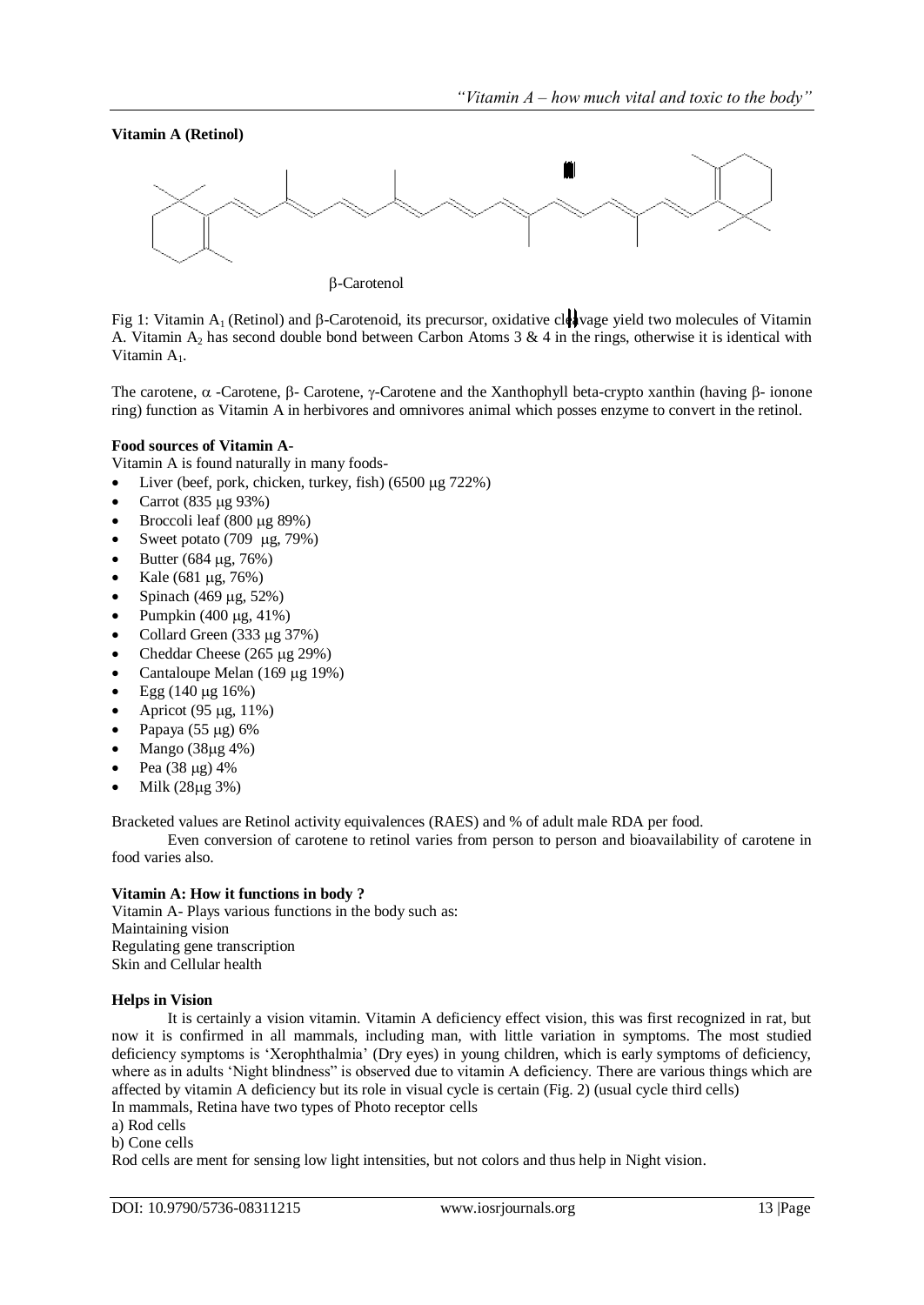**Vitamin A (Retinol)**



-Carotenol

Fig 1: Vitamin A<sub>1</sub> (Retinol) and  $\beta$ -Carotenoid, its precursor, oxidative cleavage yield two molecules of Vitamin A. Vitamin  $A_2$  has second double bond between Carbon Atoms 3 & 4 in the rings, otherwise it is identical with Vitamin A<sub>1</sub>.

The carotene,  $\alpha$  -Carotene,  $\beta$ -Carotene,  $\gamma$ -Carotene and the Xanthophyll beta-crypto xanthin (having  $\beta$ -ionone ring) function as Vitamin A in herbivores and omnivores animal which posses enzyme to convert in the retinol.

# **Food sources of Vitamin A-**

Vitamin A is found naturally in many foods-

- Liver (beef, pork, chicken, turkey, fish)  $(6500 \text{ µg } 722\%)$
- Carrot (835 µg 93%)
- Broccoli leaf  $(800 \mu g 89%)$
- Sweet potato  $(709 \text{ µg}, 79\%)$
- Butter ( $684 \,\mu$ g,  $76\%$ )
- Kale (681  $\mu$ g, 76%)
- Spinach (469 μg, 52%)
- Pumpkin  $(400 \mu g, 41\%)$
- Collard Green  $(333 \mu g 37%)$
- Cheddar Cheese  $(265 \mu g 29\%)$
- Cantaloupe Melan  $(169 \mu g 19%)$
- Egg  $(140 \mu g 16%)$
- Apricot (95 µg, 11%)
- Papaya  $(55 \mu g) 6%$
- Mango (38µg 4%)
- Pea (38 µg) 4%
- Milk (28µg 3%)

Bracketed values are Retinol activity equivalences (RAES) and % of adult male RDA per food.

Even conversion of carotene to retinol varies from person to person and bioavailability of carotene in food varies also.

# **Vitamin A: How it functions in body ?**

Vitamin A- Plays various functions in the body such as: Maintaining vision Regulating gene transcription Skin and Cellular health

#### **Helps in Vision**

It is certainly a vision vitamin. Vitamin A deficiency effect vision, this was first recognized in rat, but now it is confirmed in all mammals, including man, with little variation in symptoms. The most studied deficiency symptoms is "Xerophthalmia" (Dry eyes) in young children, which is early symptoms of deficiency, where as in adults 'Night blindness'' is observed due to vitamin A deficiency. There are various things which are affected by vitamin A deficiency but its role in visual cycle is certain (Fig. 2) (usual cycle third cells) In mammals, Retina have two types of Photo receptor cells

- a) Rod cells
- b) Cone cells

Rod cells are ment for sensing low light intensities, but not colors and thus help in Night vision.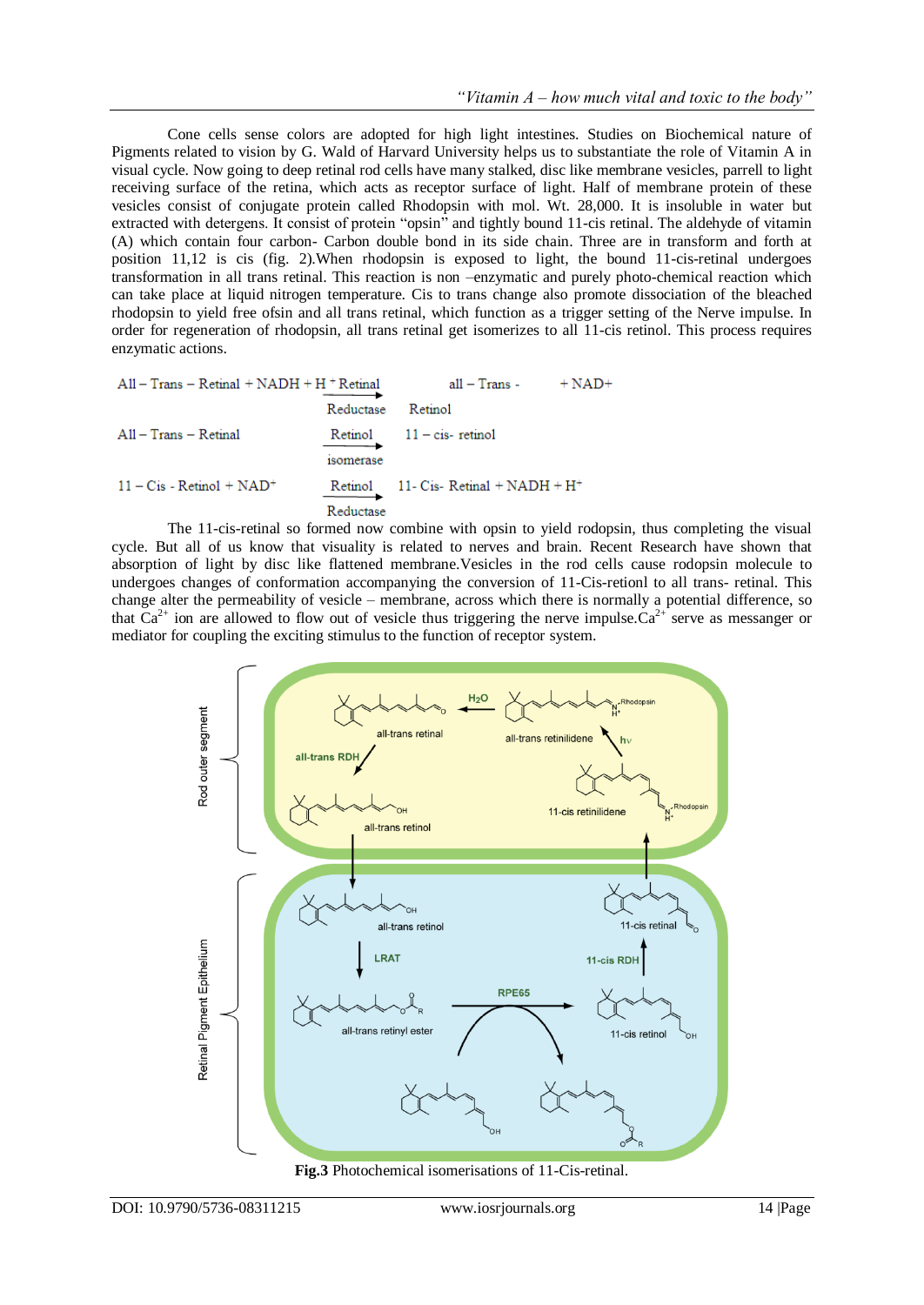Cone cells sense colors are adopted for high light intestines. Studies on Biochemical nature of Pigments related to vision by G. Wald of Harvard University helps us to substantiate the role of Vitamin A in visual cycle. Now going to deep retinal rod cells have many stalked, disc like membrane vesicles, parrell to light receiving surface of the retina, which acts as receptor surface of light. Half of membrane protein of these vesicles consist of conjugate protein called Rhodopsin with mol. Wt. 28,000. It is insoluble in water but extracted with detergens. It consist of protein "opsin" and tightly bound 11-cis retinal. The aldehyde of vitamin (A) which contain four carbon- Carbon double bond in its side chain. Three are in transform and forth at position 11,12 is cis (fig. 2).When rhodopsin is exposed to light, the bound 11-cis-retinal undergoes transformation in all trans retinal. This reaction is non –enzymatic and purely photo-chemical reaction which can take place at liquid nitrogen temperature. Cis to trans change also promote dissociation of the bleached rhodopsin to yield free ofsin and all trans retinal, which function as a trigger setting of the Nerve impulse. In order for regeneration of rhodopsin, all trans retinal get isomerizes to all 11-cis retinol. This process requires enzymatic actions.

| $All - Trans - Retinal + NADH + H + Retinal$ |                 | $all - Trans - + NAD +$                |  |
|----------------------------------------------|-----------------|----------------------------------------|--|
|                                              | Reductase       | Retinol                                |  |
| $All - Trans - Retinal$                      | <i>somerase</i> | $Retinol$ $11 - cis$ - retinol         |  |
| $11 - C$ is - Retinol + NAD <sup>+</sup>     | Reductase       | Retinol 11- Cis-Retinal + $NADH + H^+$ |  |

The 11-cis-retinal so formed now combine with opsin to yield rodopsin, thus completing the visual cycle. But all of us know that visuality is related to nerves and brain. Recent Research have shown that absorption of light by disc like flattened membrane.Vesicles in the rod cells cause rodopsin molecule to undergoes changes of conformation accompanying the conversion of 11-Cis-retionl to all trans- retinal. This change alter the permeability of vesicle – membrane, across which there is normally a potential difference, so that  $Ca^{2+}$  ion are allowed to flow out of vesicle thus triggering the nerve impulse.  $Ca^{2+}$  serve as messanger or mediator for coupling the exciting stimulus to the function of receptor system.



**Fig.3** Photochemical isomerisations of 11-Cis-retinal.